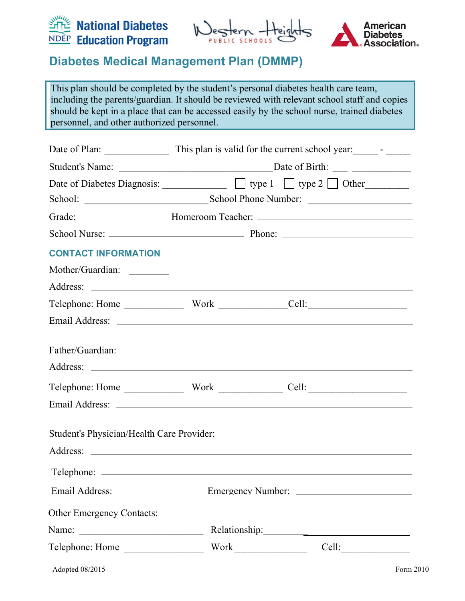





This plan should be completed by the student's personal diabetes health care team, including the parents/guardian. It should be reviewed with relevant school staff and copies should be kept in a place that can be accessed easily by the school nurse, trained diabetes personnel, and other authorized personnel.

|                                  |  | Grade: <u>______________________</u> Homeroom Teacher: ________________________________ |  |
|----------------------------------|--|-----------------------------------------------------------------------------------------|--|
|                                  |  |                                                                                         |  |
| <b>CONTACT INFORMATION</b>       |  |                                                                                         |  |
| Mother/Guardian:                 |  |                                                                                         |  |
|                                  |  |                                                                                         |  |
|                                  |  |                                                                                         |  |
|                                  |  |                                                                                         |  |
|                                  |  |                                                                                         |  |
|                                  |  |                                                                                         |  |
|                                  |  |                                                                                         |  |
|                                  |  |                                                                                         |  |
|                                  |  |                                                                                         |  |
|                                  |  |                                                                                         |  |
|                                  |  |                                                                                         |  |
| <b>Other Emergency Contacts:</b> |  |                                                                                         |  |
|                                  |  |                                                                                         |  |
|                                  |  | Cell:                                                                                   |  |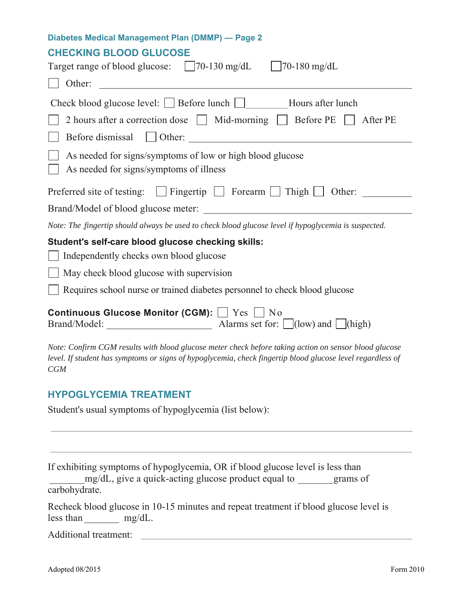### **CHECKING BLOOD GLUCOSE**

| Target range of blood glucose: 70-130 mg/dL 70-180 mg/dL                                                                                                                                                                   |  |  |
|----------------------------------------------------------------------------------------------------------------------------------------------------------------------------------------------------------------------------|--|--|
| Other:                                                                                                                                                                                                                     |  |  |
| Check blood glucose level: $\Box$ Before lunch $\Box$ Hours after lunch                                                                                                                                                    |  |  |
| 2 hours after a correction dose Mid-morning   Before PE<br>After PE                                                                                                                                                        |  |  |
| Before dismissal U Other:                                                                                                                                                                                                  |  |  |
| As needed for signs/symptoms of low or high blood glucose<br>As needed for signs/symptoms of illness                                                                                                                       |  |  |
| Preferred site of testing: $\Box$ Fingertip $\Box$ Forearm $\Box$ Thigh $\Box$<br>Other:                                                                                                                                   |  |  |
| Brand/Model of blood glucose meter:                                                                                                                                                                                        |  |  |
| Note: The fingertip should always be used to check blood glucose level if hypoglycemia is suspected.                                                                                                                       |  |  |
| Student's self-care blood glucose checking skills:                                                                                                                                                                         |  |  |
| Independently checks own blood glucose                                                                                                                                                                                     |  |  |
| May check blood glucose with supervision                                                                                                                                                                                   |  |  |
| Requires school nurse or trained diabetes personnel to check blood glucose                                                                                                                                                 |  |  |
| <b>Continuous Glucose Monitor (CGM):</b>   Yes   No                                                                                                                                                                        |  |  |
| Note: Confirm CGM results with blood glucose meter check before taking action on sensor blood glucose<br>level. If student has symptoms or signs of hypoglycemia, check fingertip blood glucose level regardless of<br>CGM |  |  |

### **HYPOGLYCEMIA TREATMENT**

Student's usual symptoms of hypoglycemia (list below):

If exhibiting symptoms of hypoglycemia, OR if blood glucose level is less than

 \_\_\_\_\_\_\_ mg/dL, give a quick-acting glucose product equal to \_\_\_\_\_\_\_ grams of carbohydrate.

|           | Recheck blood glucose in 10-15 minutes and repeat treatment if blood glucose level is |  |  |
|-----------|---------------------------------------------------------------------------------------|--|--|
| less than | $mg/dL$ .                                                                             |  |  |

Additional treatment: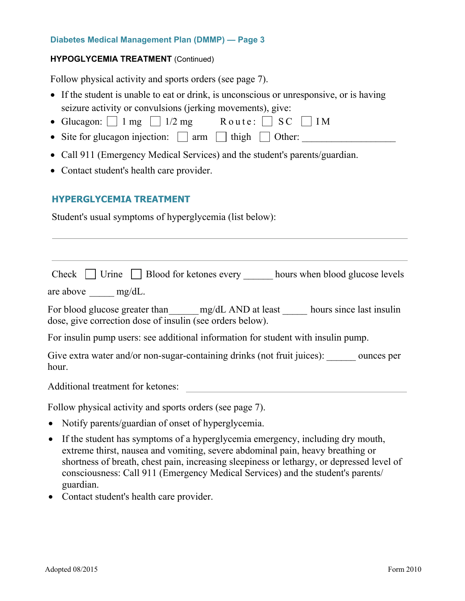#### **HYPOGLYCEMIA TREATMENT** (Continued)

Follow physical activity and sports orders (see page 7).

- If the student is unable to eat or drink, is unconscious or unresponsive, or is having seizure activity or convulsions (jerking movements), give:
- Glucagon:  $\Box$  1 mg  $\Box$  1/2 mg Route:  $\Box$  SC  $\Box$  IM
- Site for glucagon injection:  $\Box$  arm  $\Box$  thigh  $\Box$  Other:
- Call 911 (Emergency Medical Services) and the student's parents/guardian.
- Contact student's health care provider.

#### **HYPERGLYCEMIA TREATMENT**

Student's usual symptoms of hyperglycemia (list below):

|  | Check $\Box$ Urine $\Box$ Blood for ketones every $\Box$ | hours when blood glucose levels |
|--|----------------------------------------------------------|---------------------------------|
|  |                                                          |                                 |

are above  $mg/dL$ .

For blood glucose greater than \_\_\_\_\_\_ mg/dL AND at least \_\_\_\_\_\_ hours since last insulin dose, give correction dose of insulin (see orders below).

For insulin pump users: see additional information for student with insulin pump.

Give extra water and/or non-sugar-containing drinks (not fruit juices): ounces per hour.

Additional treatment for ketones:

Follow physical activity and sports orders (see page 7).

- Notify parents/guardian of onset of hyperglycemia.
- If the student has symptoms of a hyperglycemia emergency, including dry mouth, extreme thirst, nausea and vomiting, severe abdominal pain, heavy breathing or shortness of breath, chest pain, increasing sleepiness or lethargy, or depressed level of consciousness: Call 911 (Emergency Medical Services) and the student's parents/ guardian.
- Contact student's health care provider.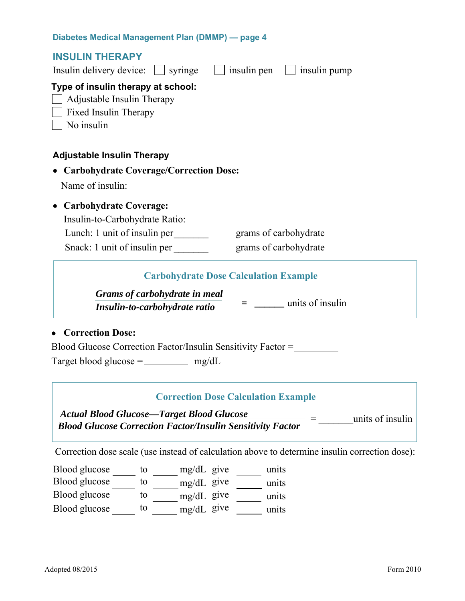| <b>INSULIN THERAPY</b><br>Insulin delivery device:<br>insulin pen<br>insulin pump<br>$\vert$ syringe                                      |  |  |  |  |
|-------------------------------------------------------------------------------------------------------------------------------------------|--|--|--|--|
| Type of insulin therapy at school:<br>Adjustable Insulin Therapy<br>Fixed Insulin Therapy<br>No insulin                                   |  |  |  |  |
| <b>Adjustable Insulin Therapy</b>                                                                                                         |  |  |  |  |
| • Carbohydrate Coverage/Correction Dose:                                                                                                  |  |  |  |  |
| Name of insulin:                                                                                                                          |  |  |  |  |
| <b>Carbohydrate Coverage:</b><br>Insulin-to-Carbohydrate Ratio:                                                                           |  |  |  |  |
| Lunch: 1 unit of insulin per<br>grams of carbohydrate                                                                                     |  |  |  |  |
| Snack: 1 unit of insulin per<br>grams of carbohydrate                                                                                     |  |  |  |  |
| <b>Carbohydrate Dose Calculation Example</b><br>Grams of carbohydrate in meal<br>units of insulin                                         |  |  |  |  |
| Insulin-to-carbohydrate ratio                                                                                                             |  |  |  |  |
| <b>Correction Dose:</b><br>Blood Glucose Correction Factor/Insulin Sensitivity Factor =<br>Target blood glucose = $\_\_\_\_\_\_\_\$ mg/dL |  |  |  |  |
| <b>Correction Dose Calculation Example</b>                                                                                                |  |  |  |  |
| <b>Actual Blood Glucose—Target Blood Glucose</b>                                                                                          |  |  |  |  |
| units of insulin<br><b>Blood Glucose Correction Factor/Insulin Sensitivity Factor</b>                                                     |  |  |  |  |
|                                                                                                                                           |  |  |  |  |

Correction dose scale (use instead of calculation above to determine insulin correction dose):

Blood glucose \_\_\_\_\_\_ to \_\_\_\_\_\_ mg/dL give \_\_\_\_\_\_ units Blood glucose to mg/dL give units Blood glucose  $\qquad$  to  $\qquad$  mg/dL give  $\qquad$  units Blood glucose  $\frac{1}{\sqrt{1-\frac{1}{\sqrt{1-\frac{1}{\sqrt{1-\frac{1}{\sqrt{1-\frac{1}{\sqrt{1-\frac{1}{\sqrt{1-\frac{1}{\sqrt{1-\frac{1}{\sqrt{1-\frac{1}{\sqrt{1-\frac{1}{\sqrt{1-\frac{1}{\sqrt{1-\frac{1}{\sqrt{1-\frac{1}{\sqrt{1-\frac{1}{\sqrt{1-\frac{1}{\sqrt{1-\frac{1}{\sqrt{1-\frac{1}{\sqrt{1-\frac{1}{\sqrt{1-\frac{1}{\sqrt{1-\frac{1}{\sqrt{1-\frac{1}{\sqrt{1-\frac{1}{\sqrt{1-\frac{1}{\sqrt{$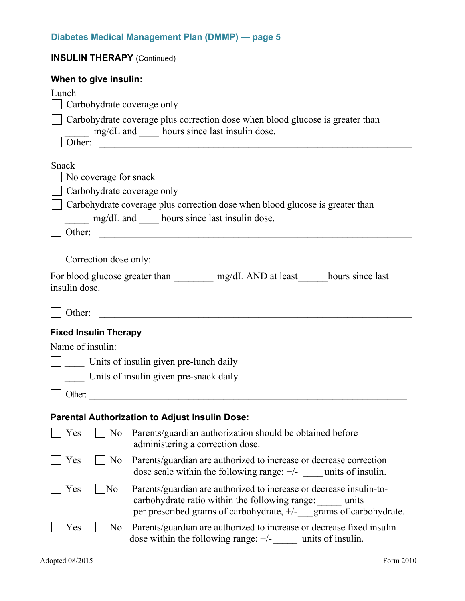| <b>INSULIN THERAPY (Continued)</b> |                                                                                                                                                                                                 |  |  |
|------------------------------------|-------------------------------------------------------------------------------------------------------------------------------------------------------------------------------------------------|--|--|
| When to give insulin:              |                                                                                                                                                                                                 |  |  |
| Lunch                              |                                                                                                                                                                                                 |  |  |
| Carbohydrate coverage only         |                                                                                                                                                                                                 |  |  |
| Other:                             | Carbohydrate coverage plus correction dose when blood glucose is greater than<br>mg/dL and _____ hours since last insulin dose.                                                                 |  |  |
|                                    |                                                                                                                                                                                                 |  |  |
| Snack<br>No coverage for snack     |                                                                                                                                                                                                 |  |  |
| Carbohydrate coverage only         |                                                                                                                                                                                                 |  |  |
|                                    | Carbohydrate coverage plus correction dose when blood glucose is greater than                                                                                                                   |  |  |
|                                    | mg/dL and hours since last insulin dose.                                                                                                                                                        |  |  |
| Other:                             | <u> 2000 - Jan James James James James James James James James James James James James James James James James J</u>                                                                            |  |  |
|                                    |                                                                                                                                                                                                 |  |  |
| Correction dose only:              |                                                                                                                                                                                                 |  |  |
|                                    | For blood glucose greater than __________ mg/dL AND at least ______ hours since last                                                                                                            |  |  |
| insulin dose.                      |                                                                                                                                                                                                 |  |  |
| Other:                             |                                                                                                                                                                                                 |  |  |
| <b>Fixed Insulin Therapy</b>       |                                                                                                                                                                                                 |  |  |
| Name of insulin:                   |                                                                                                                                                                                                 |  |  |
|                                    | Units of insulin given pre-lunch daily                                                                                                                                                          |  |  |
|                                    | Units of insulin given pre-snack daily                                                                                                                                                          |  |  |
| $\Box$ Other:                      |                                                                                                                                                                                                 |  |  |
|                                    |                                                                                                                                                                                                 |  |  |
|                                    | <b>Parental Authorization to Adjust Insulin Dose:</b>                                                                                                                                           |  |  |
| Yes<br>N <sub>o</sub>              | Parents/guardian authorization should be obtained before<br>administering a correction dose.                                                                                                    |  |  |
| Yes<br>No                          | Parents/guardian are authorized to increase or decrease correction<br>dose scale within the following range: $\pm$ /- ____ units of insulin.                                                    |  |  |
| Yes<br>$\overline{\rm No}$         | Parents/guardian are authorized to increase or decrease insulin-to-<br>carbohydrate ratio within the following range: units<br>per prescribed grams of carbohydrate, +/- grams of carbohydrate. |  |  |
| Yes<br>N <sub>o</sub>              | Parents/guardian are authorized to increase or decrease fixed insulin<br>dose within the following range: $+/-$ units of insulin.                                                               |  |  |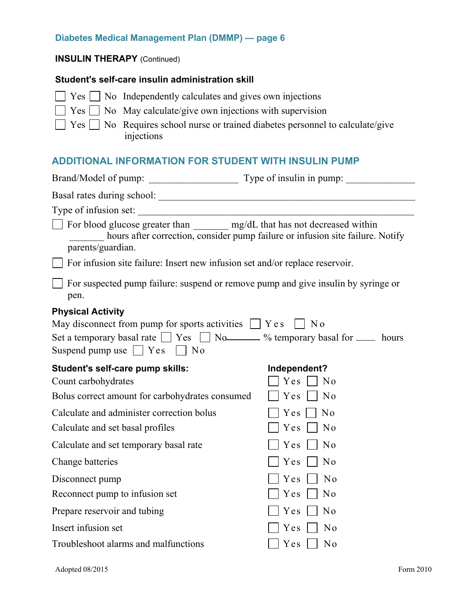#### **INSULIN THERAPY** (Continued)

#### **Student's self-care insulin administration skill**

 $\Box$  Yes  $\Box$  No Independently calculates and gives own injections  $\Box$  Yes  $\Box$  No May calculate/give own injections with supervision

 $\Box$  Yes  $\Box$  No Requires school nurse or trained diabetes personnel to calculate/give injections

## **ADDITIONAL INFORMATION FOR STUDENT WITH INSULIN PUMP**

| Type of infusion set:                                                                            |                                                                                |  |  |
|--------------------------------------------------------------------------------------------------|--------------------------------------------------------------------------------|--|--|
| For blood glucose greater than ________ mg/dL that has not decreased within<br>parents/guardian. | hours after correction, consider pump failure or infusion site failure. Notify |  |  |
| For infusion site failure: Insert new infusion set and/or replace reservoir.                     |                                                                                |  |  |
| For suspected pump failure: suspend or remove pump and give insulin by syringe or<br>pen.        |                                                                                |  |  |
| <b>Physical Activity</b>                                                                         |                                                                                |  |  |
| May disconnect from pump for sports activities $\Box$ Y e s $\Box$ N o                           |                                                                                |  |  |
| Set a temporary basal rate $\Box$ Yes $\Box$ No $\Box$ % temporary basal for $\Box$ hours        |                                                                                |  |  |
| Suspend pump use $\Box$ Yes $\Box$ No                                                            |                                                                                |  |  |
| Student's self-care pump skills:                                                                 | Independent?                                                                   |  |  |
| Count carbohydrates                                                                              | Yes<br>$\overline{N}$                                                          |  |  |
| Bolus correct amount for carbohydrates consumed                                                  | Yes<br>$\overline{N}$                                                          |  |  |
| Calculate and administer correction bolus                                                        | N <sub>o</sub><br>Yes                                                          |  |  |
| Calculate and set basal profiles                                                                 | Yes<br>$\overline{\phantom{a}}$ No                                             |  |  |
| Calculate and set temporary basal rate                                                           | No<br>Yes                                                                      |  |  |
| Change batteries                                                                                 | N <sub>o</sub><br>Yes                                                          |  |  |
| Disconnect pump                                                                                  | Yes<br>No                                                                      |  |  |
| Reconnect pump to infusion set                                                                   | N <sub>0</sub><br>Yes                                                          |  |  |
| Prepare reservoir and tubing                                                                     | N <sub>o</sub><br>Yes                                                          |  |  |
| Insert infusion set                                                                              | N <sub>o</sub><br>Yes                                                          |  |  |
| Troubleshoot alarms and malfunctions                                                             | N <sub>o</sub><br>Yes                                                          |  |  |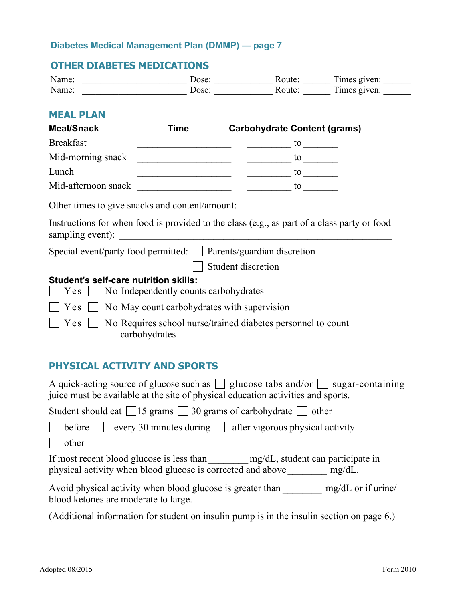## **OTHER DIABETES MEDICATIONS**

| Name: | Jose:             | :oute | l'imes given:        |
|-------|-------------------|-------|----------------------|
| Name: | Jose <sup>.</sup> | oute: | —<br>$l$ imes given: |

## **MEAL PLAN**

| <b>Meal/Snack</b>                                                                    | Time                                                   | <b>Carbohydrate Content (grams)</b>                                                         |
|--------------------------------------------------------------------------------------|--------------------------------------------------------|---------------------------------------------------------------------------------------------|
| <b>Breakfast</b>                                                                     |                                                        | to                                                                                          |
| Mid-morning snack                                                                    |                                                        | to                                                                                          |
| Lunch                                                                                |                                                        | to                                                                                          |
| Mid-afternoon snack                                                                  |                                                        | to                                                                                          |
| Other times to give snacks and content/amount:                                       |                                                        |                                                                                             |
| sampling event):                                                                     |                                                        | Instructions for when food is provided to the class (e.g., as part of a class party or food |
| Special event/party food permitted:     Parents/guardian discretion                  |                                                        |                                                                                             |
|                                                                                      |                                                        | Student discretion                                                                          |
| <b>Student's self-care nutrition skills:</b><br>Yes                                  | $\Box$ No Independently counts carbohydrates           |                                                                                             |
|                                                                                      | $Yes \Box No$ May count carbohydrates with supervision |                                                                                             |
| No Requires school nurse/trained diabetes personnel to count<br>Yes<br>carbohydrates |                                                        |                                                                                             |

## **PHYSICAL ACTIVITY AND SPORTS**

| A quick-acting source of glucose such as $\Box$ glucose tabs and/or $\Box$ sugar-containing<br>juice must be available at the site of physical education activities and sports. |  |  |  |
|---------------------------------------------------------------------------------------------------------------------------------------------------------------------------------|--|--|--|
| Student should eat $\boxed{15}$ grams $\boxed{30}$ grams of carbohydrate $\boxed{ }$ other                                                                                      |  |  |  |
| before $\vert \vert$   every 30 minutes during $\vert \vert$ after vigorous physical activity                                                                                   |  |  |  |
| $\vert$ other                                                                                                                                                                   |  |  |  |
| If most recent blood glucose is less than mg/dL, student can participate in<br>physical activity when blood glucose is corrected and above<br>$mg/dL$ .                         |  |  |  |
| Avoid physical activity when blood glucose is greater than<br>$mg/dL$ or if urine/<br>blood ketones are moderate to large.                                                      |  |  |  |
| (Additional information for student on insulin pump is in the insulin section on page 6.)                                                                                       |  |  |  |